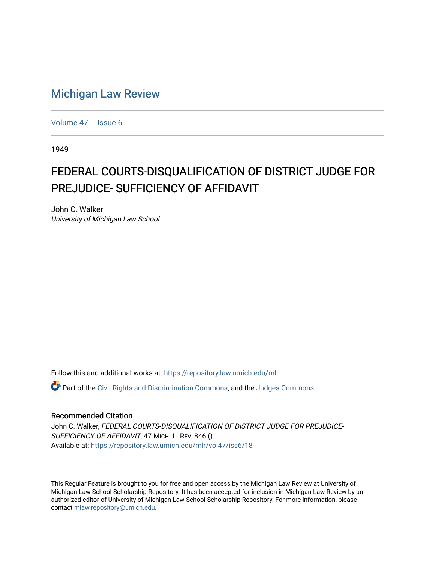## [Michigan Law Review](https://repository.law.umich.edu/mlr)

[Volume 47](https://repository.law.umich.edu/mlr/vol47) | [Issue 6](https://repository.law.umich.edu/mlr/vol47/iss6)

1949

## FEDERAL COURTS-DISQUALIFICATION OF DISTRICT JUDGE FOR PREJUDICE- SUFFICIENCY OF AFFIDAVIT

John C. Walker University of Michigan Law School

Follow this and additional works at: [https://repository.law.umich.edu/mlr](https://repository.law.umich.edu/mlr?utm_source=repository.law.umich.edu%2Fmlr%2Fvol47%2Fiss6%2F18&utm_medium=PDF&utm_campaign=PDFCoverPages) 

**C** Part of the [Civil Rights and Discrimination Commons,](http://network.bepress.com/hgg/discipline/585?utm_source=repository.law.umich.edu%2Fmlr%2Fvol47%2Fiss6%2F18&utm_medium=PDF&utm_campaign=PDFCoverPages) and the [Judges Commons](http://network.bepress.com/hgg/discipline/849?utm_source=repository.law.umich.edu%2Fmlr%2Fvol47%2Fiss6%2F18&utm_medium=PDF&utm_campaign=PDFCoverPages)

## Recommended Citation

John C. Walker, FEDERAL COURTS-DISQUALIFICATION OF DISTRICT JUDGE FOR PREJUDICE-SUFFICIENCY OF AFFIDAVIT, 47 MICH. L. REV. 846 (). Available at: [https://repository.law.umich.edu/mlr/vol47/iss6/18](https://repository.law.umich.edu/mlr/vol47/iss6/18?utm_source=repository.law.umich.edu%2Fmlr%2Fvol47%2Fiss6%2F18&utm_medium=PDF&utm_campaign=PDFCoverPages) 

This Regular Feature is brought to you for free and open access by the Michigan Law Review at University of Michigan Law School Scholarship Repository. It has been accepted for inclusion in Michigan Law Review by an authorized editor of University of Michigan Law School Scholarship Repository. For more information, please contact [mlaw.repository@umich.edu](mailto:mlaw.repository@umich.edu).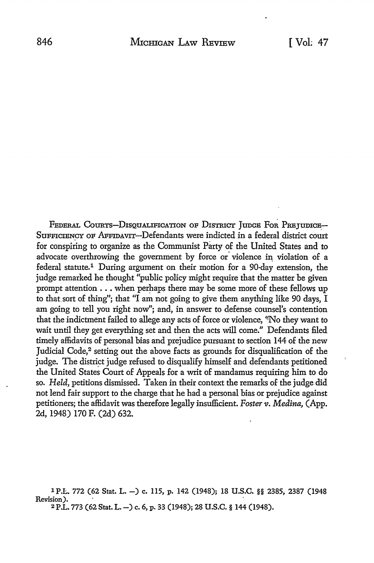FEDERAL COURTS-DISQUALIFICATION OF DISTRICT JUDGE FOR PREJUDICE-SuFFICIENCY OF AFFIDAVIT-Defendants were indicted **in a** federal district court for conspiring to organize as the Communist Party of the United States and to advocate overthrowing the government by force or violence in violation of a federal statute.1 During argument on their motion for a 90-day extension, the judge remarked he thought "public policy might require that the matter be given prompt attention  $\dots$  when perhaps there may be some more of these fellows up to thatsort of thing"; that "I am not going to give them anything like 90 days, I am going to tell you right now"; and, in answer to defense counsel's contention that the indictment failed to allege any acts of force or violence, "No they want to wait until they get everything set and then the acts will come." Defendants filed timely affidavits of personal bias and prejudice pursuant to section 144 of the new Judicial Code,<sup>2</sup> setting out the above facts as grounds for disqualification of the judge. The district judge refused to disqualify himself and defendants petitioned the United States Court of Appeals for a writ of mandamus requiring him to do so. *Held,* petitions dismissed. Taken in their context the remarks of the judge did not lend fair support to the charge that he had a personal bias or prejudice against petitioners; the affidavit was therefore legally insufficient. *Foster v. Medina,* (App. 2d, 1948) 170 F. (2d) 632.

1 P.I:.. 772 (62 Stat. L. -) c, 115, p. 142 (1948); 18 U.S.C. §§ 2385, 2387 (1948 Revision).<br>2 P.L. 773 (62 Stat. L. --) c. 6, p. 33 (1948); 28 U.S.C. § 144 (1948).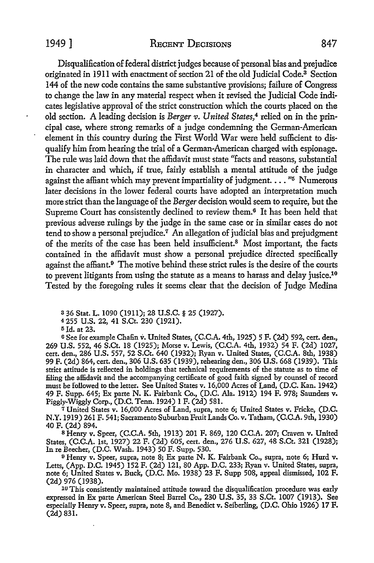## 1949 ] RECENT DECISIONS 847

Disqualification of federal district judges because of personal bias and prejudice originated in 1911 with enactment of section 21 of the old Judicial Code.<sup>3</sup> Section 144 of the new code contains the same substantive provisions; failure of Congress to change the law in any material respect when it revised the Judicial Code indicates legislative approval of the strict construction which the courts placed on the old section. A leading decision is *Berger v. United States,4* relied on in the principal case, where strong remarks of a judge condemning the German-American element in this country during the First World War were held sufficient to disqualify him from hearing the trial of a German-American charged with espionage. The rule was laid down that the affidavit must state "facts and reasons, substantial in character and which, if true, fairly establish a mental attitude of the judge against the affiant which may prevent impartiality of judgment.  $\ldots$  "5 Numerous later decisions in the lower federal courts have adopted an interpretation much more strict than the language of the *Berger* decision would seem to require, but the Supreme Court has consistently declined to review them.<sup>6</sup> It has been held that previous adverse rulings by the judge in the same case or in similar cases do not tend to show a personal prejudice.<sup>7</sup> An allegation of judicial bias and prejudgment of the merits of the case has been held insufficient.<sup>8</sup> Most important, the facts contained in the affidavit must show a personal prejudice directed specifically against the affiant.<sup>9</sup> The motive behind these strict rules is the desire of the courts to prevent litigants from using the statute as a means to harass and delay jusice.10 Tested by the foregoing rules it seems clear that the decision of Judge Medina

a 36 Stat. L. 1090 (1911); 28 U.S.C. § 25 (1927).

<sup>4</sup>255 U.S. 22, 41 S.Ct. 230 (1921).

<sup>5</sup>Jd. at 23.

<sup>6</sup>See for example Chafin v. United States, (C.C.A. 4th, 1925) 5 F. (2d) 592, cert. den., 269 U.S. 552, 46 S.Ct. 18 (1925); Morse v. Lewis, (C.C.A. 4th, 1932) 54 F. (2d) 1027, cert. den., 286 U.S. 557, 52 S.Ct. 640 (1932); Ryan v. United States, (C.C.A. 8th, 1938) 99 F. (2d) 864, cert. den., 306 U.S. 635 (1939), rehearing den., 306 U.S. 668 (1939). This strict attitude is reflected in holdings that technical requirements of the statute as to time of filing the affidavit and the accompanying certificate of good faith signed by counsel of record must be followed to the letter. See United States v. 16,000 Acres of Land, (D.C. Kan. 1942) 49 F. Supp. 645; Ex parte N. K. Fairbank Co., (D.C. Ala. 1912) 194 F. 978; Saunders v. Piggly-Wiggly Corp., (D.C. Tenn. 1924) 1 F. (2d) 581.

<sup>7</sup>United States v. 16,000 Acres of Land, supra, note 6; United States v. Fricke, (D.C. N.Y. 1919) 261 F. 541; Sacramento Suburban Fruit Lands Co. v. Tatham, (C.C.A. 9th, 1930) 40 F. (2d) 894.

s Henry v. Speer, (C.C.A. 5th, 1913) 201 F. 869, 120 C.C.A. 207; Craven v. United States, (C.C.A. 1st, 1927) 22 F. (2d) 605, cert. den., 276 U.S. 627, 48 S.Ct. 321 (1928); In re Beecher, (D.C. Wash. 1943) 50 F. Supp. 530.

o Henry v. Speer, supra, note 8; Ex parte N. K. Fairbank Co., supra, note 6; Hurd v. Letts, (App. D.C. 1945) 152 F. (2d) 121, 80 App. D.C. 233; Ryan v. United States, supra, note 6; United States v. Buck, (D.C. Mo. 1938) 23 F. Supp 508, appeal dismissed, 102 F. (2d) 976 (1938).

<sup>10</sup> This consistently maintained attitude toward the disqualification procedure was early expressed in Ex parte American Steel Barrel Co., 230 U.S. 35, 33 S.Ct. 1007 (1913). See especially Henry v. Speer, supra, note 8, and Benedict v. Seiberling, (D.C. Ohio 1926) 17 F. (2d) 831.